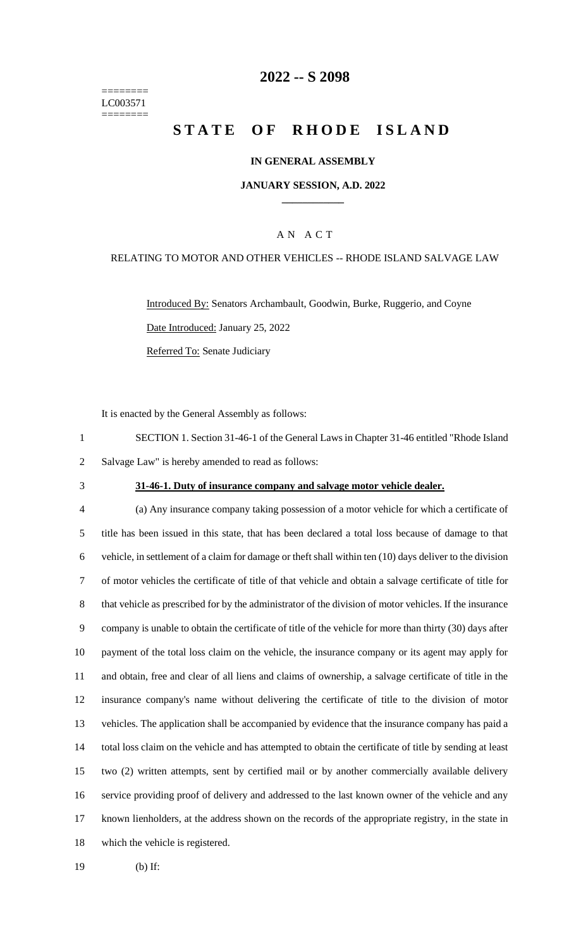======== LC003571 ========

### **-- S 2098**

# **STATE OF RHODE ISLAND**

#### **IN GENERAL ASSEMBLY**

#### **JANUARY SESSION, A.D. 2022 \_\_\_\_\_\_\_\_\_\_\_\_**

### A N A C T

#### RELATING TO MOTOR AND OTHER VEHICLES -- RHODE ISLAND SALVAGE LAW

Introduced By: Senators Archambault, Goodwin, Burke, Ruggerio, and Coyne Date Introduced: January 25, 2022 Referred To: Senate Judiciary

It is enacted by the General Assembly as follows:

 SECTION 1. Section 31-46-1 of the General Laws in Chapter 31-46 entitled "Rhode Island Salvage Law" is hereby amended to read as follows:

#### **31-46-1. Duty of insurance company and salvage motor vehicle dealer.**

 (a) Any insurance company taking possession of a motor vehicle for which a certificate of title has been issued in this state, that has been declared a total loss because of damage to that vehicle, in settlement of a claim for damage or theft shall within ten (10) days deliver to the division of motor vehicles the certificate of title of that vehicle and obtain a salvage certificate of title for that vehicle as prescribed for by the administrator of the division of motor vehicles. If the insurance company is unable to obtain the certificate of title of the vehicle for more than thirty (30) days after payment of the total loss claim on the vehicle, the insurance company or its agent may apply for and obtain, free and clear of all liens and claims of ownership, a salvage certificate of title in the insurance company's name without delivering the certificate of title to the division of motor vehicles. The application shall be accompanied by evidence that the insurance company has paid a total loss claim on the vehicle and has attempted to obtain the certificate of title by sending at least two (2) written attempts, sent by certified mail or by another commercially available delivery service providing proof of delivery and addressed to the last known owner of the vehicle and any known lienholders, at the address shown on the records of the appropriate registry, in the state in which the vehicle is registered.

(b) If: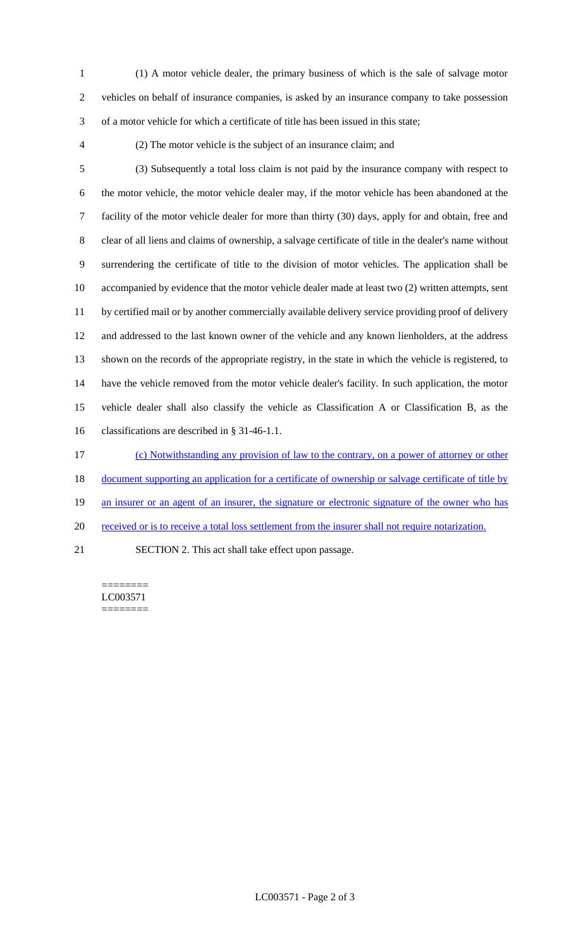- (1) A motor vehicle dealer, the primary business of which is the sale of salvage motor vehicles on behalf of insurance companies, is asked by an insurance company to take possession of a motor vehicle for which a certificate of title has been issued in this state;
- 

(2) The motor vehicle is the subject of an insurance claim; and

 (3) Subsequently a total loss claim is not paid by the insurance company with respect to the motor vehicle, the motor vehicle dealer may, if the motor vehicle has been abandoned at the facility of the motor vehicle dealer for more than thirty (30) days, apply for and obtain, free and clear of all liens and claims of ownership, a salvage certificate of title in the dealer's name without surrendering the certificate of title to the division of motor vehicles. The application shall be accompanied by evidence that the motor vehicle dealer made at least two (2) written attempts, sent by certified mail or by another commercially available delivery service providing proof of delivery and addressed to the last known owner of the vehicle and any known lienholders, at the address shown on the records of the appropriate registry, in the state in which the vehicle is registered, to have the vehicle removed from the motor vehicle dealer's facility. In such application, the motor vehicle dealer shall also classify the vehicle as Classification A or Classification B, as the classifications are described in § 31-46-1.1. (c) Notwithstanding any provision of law to the contrary, on a power of attorney or other

document supporting an application for a certificate of ownership or salvage certificate of title by

19 an insurer or an agent of an insurer, the signature or electronic signature of the owner who has

20 received or is to receive a total loss settlement from the insurer shall not require notarization.

SECTION 2. This act shall take effect upon passage.

======== LC003571 ========